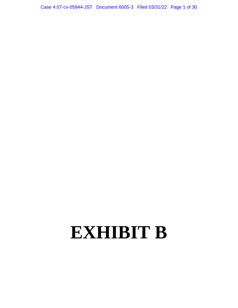Case 4:07-cv-05944-JST Document 6005-3 Filed 03/31/22 Page 1 of 30

## **EXHIBIT B**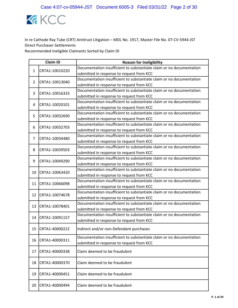

|                | <b>Claim ID</b> | <b>Reason for Ineligibility</b>                                      |
|----------------|-----------------|----------------------------------------------------------------------|
| $\mathbf{1}$   | CRTA1-10010220  | Documentation insufficient to substantiate claim or no documentation |
|                |                 | submitted in response to request from KCC                            |
| $\overline{2}$ | CRTA1-10013040  | Documentation insufficient to substantiate claim or no documentation |
|                |                 | submitted in response to request from KCC                            |
| 3              | CRTA1-10016333  | Documentation insufficient to substantiate claim or no documentation |
|                |                 | submitted in response to request from KCC                            |
| 4              | CRTA1-10020101  | Documentation insufficient to substantiate claim or no documentation |
|                |                 | submitted in response to request from KCC                            |
| 5              | CRTA1-10032690  | Documentation insufficient to substantiate claim or no documentation |
|                |                 | submitted in response to request from KCC                            |
| 6              | CRTA1-10032703  | Documentation insufficient to substantiate claim or no documentation |
|                |                 | submitted in response to request from KCC                            |
| 7              | CRTA1-10034480  | Documentation insufficient to substantiate claim or no documentation |
|                |                 | submitted in response to request from KCC                            |
| 8              | CRTA1-10039503  | Documentation insufficient to substantiate claim or no documentation |
|                |                 | submitted in response to request from KCC                            |
| 9              | CRTA1-10049290  | Documentation insufficient to substantiate claim or no documentation |
|                |                 | submitted in response to request from KCC                            |
| 10             | CRTA1-10063420  | Documentation insufficient to substantiate claim or no documentation |
|                |                 | submitted in response to request from KCC                            |
| 11             | CRTA1-10066098  | Documentation insufficient to substantiate claim or no documentation |
|                |                 | submitted in response to request from KCC                            |
| 12             | CRTA1-10074678  | Documentation insufficient to substantiate claim or no documentation |
|                |                 | submitted in response to request from KCC                            |
| 13             | CRTA1-10078401  | Documentation insufficient to substantiate claim or no documentation |
|                |                 | submitted in response to request from KCC                            |
| 14             | CRTA1-10091157  | Documentation insufficient to substantiate claim or no documentation |
|                |                 | submitted in response to request from KCC                            |
| 15             | CRTA1-40000222  | Indirect and/or non-Defendant purchases                              |
|                |                 | Documentation insufficient to substantiate claim or no documentation |
| 16             | CRTA1-40000311  | submitted in response to request from KCC                            |
| 17             | CRTA1-40000338  | Claim deemed to be fraudulent                                        |
|                |                 |                                                                      |
| 18             | CRTA1-40000370  | Claim deemed to be fraudulent                                        |
| 19             | CRTA1-40000451  | Claim deemed to be fraudulent                                        |
| 20             | CRTA1-40000494  | Claim deemed to be fraudulent                                        |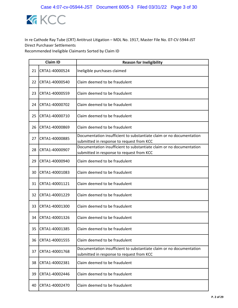

|    | <b>Claim ID</b> | <b>Reason for Ineligibility</b>                                                                                   |
|----|-----------------|-------------------------------------------------------------------------------------------------------------------|
| 21 | CRTA1-40000524  | Ineligible purchases claimed                                                                                      |
| 22 | CRTA1-40000540  | Claim deemed to be fraudulent                                                                                     |
| 23 | CRTA1-40000559  | Claim deemed to be fraudulent                                                                                     |
| 24 | CRTA1-40000702  | Claim deemed to be fraudulent                                                                                     |
| 25 | CRTA1-40000710  | Claim deemed to be fraudulent                                                                                     |
| 26 | CRTA1-40000869  | Claim deemed to be fraudulent                                                                                     |
| 27 | CRTA1-40000885  | Documentation insufficient to substantiate claim or no documentation<br>submitted in response to request from KCC |
| 28 | CRTA1-40000907  | Documentation insufficient to substantiate claim or no documentation<br>submitted in response to request from KCC |
| 29 | CRTA1-40000940  | Claim deemed to be fraudulent                                                                                     |
| 30 | CRTA1-40001083  | Claim deemed to be fraudulent                                                                                     |
| 31 | CRTA1-40001121  | Claim deemed to be fraudulent                                                                                     |
| 32 | CRTA1-40001229  | Claim deemed to be fraudulent                                                                                     |
| 33 | CRTA1-40001300  | Claim deemed to be fraudulent                                                                                     |
| 34 | CRTA1-40001326  | Claim deemed to be fraudulent                                                                                     |
| 35 | CRTA1-40001385  | Claim deemed to be fraudulent                                                                                     |
| 36 | CRTA1-40001555  | Claim deemed to be fraudulent                                                                                     |
| 37 | CRTA1-40001768  | Documentation insufficient to substantiate claim or no documentation<br>submitted in response to request from KCC |
| 38 | CRTA1-40002381  | Claim deemed to be fraudulent                                                                                     |
| 39 | CRTA1-40002446  | Claim deemed to be fraudulent                                                                                     |
| 40 | CRTA1-40002470  | Claim deemed to be fraudulent                                                                                     |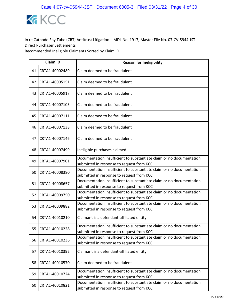

|    | <b>Claim ID</b> | <b>Reason for Ineligibility</b>                                                                                   |
|----|-----------------|-------------------------------------------------------------------------------------------------------------------|
| 41 | CRTA1-40002489  | Claim deemed to be fraudulent                                                                                     |
| 42 | CRTA1-40005151  | Claim deemed to be fraudulent                                                                                     |
| 43 | CRTA1-40005917  | Claim deemed to be fraudulent                                                                                     |
| 44 | CRTA1-40007103  | Claim deemed to be fraudulent                                                                                     |
| 45 | CRTA1-40007111  | Claim deemed to be fraudulent                                                                                     |
| 46 | CRTA1-40007138  | Claim deemed to be fraudulent                                                                                     |
| 47 | CRTA1-40007146  | Claim deemed to be fraudulent                                                                                     |
| 48 | CRTA1-40007499  | Ineligible purchases claimed                                                                                      |
| 49 | CRTA1-40007901  | Documentation insufficient to substantiate claim or no documentation<br>submitted in response to request from KCC |
| 50 | CRTA1-40008380  | Documentation insufficient to substantiate claim or no documentation<br>submitted in response to request from KCC |
| 51 | CRTA1-40008657  | Documentation insufficient to substantiate claim or no documentation<br>submitted in response to request from KCC |
| 52 | CRTA1-40009750  | Documentation insufficient to substantiate claim or no documentation<br>submitted in response to request from KCC |
| 53 | CRTA1-40009882  | Documentation insufficient to substantiate claim or no documentation<br>submitted in response to request from KCC |
| 54 | CRTA1-40010210  | Claimant is a defendant-affiliated entity                                                                         |
| 55 | CRTA1-40010228  | Documentation insufficient to substantiate claim or no documentation<br>submitted in response to request from KCC |
| 56 | CRTA1-40010236  | Documentation insufficient to substantiate claim or no documentation<br>submitted in response to request from KCC |
| 57 | CRTA1-40010392  | Claimant is a defendant-affiliated entity                                                                         |
| 58 | CRTA1-40010570  | Claim deemed to be fraudulent                                                                                     |
| 59 | CRTA1-40010724  | Documentation insufficient to substantiate claim or no documentation<br>submitted in response to request from KCC |
| 60 | CRTA1-40010821  | Documentation insufficient to substantiate claim or no documentation<br>submitted in response to request from KCC |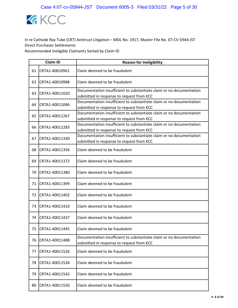

|    | <b>Claim ID</b> | <b>Reason for Ineligibility</b>                                                                                   |
|----|-----------------|-------------------------------------------------------------------------------------------------------------------|
| 61 | CRTA1-40010961  | Claim deemed to be fraudulent                                                                                     |
| 62 | CRTA1-40010988  | Claim deemed to be fraudulent                                                                                     |
| 63 | CRTA1-40011020  | Documentation insufficient to substantiate claim or no documentation<br>submitted in response to request from KCC |
| 64 | CRTA1-40011046  | Documentation insufficient to substantiate claim or no documentation<br>submitted in response to request from KCC |
| 65 | CRTA1-40011267  | Documentation insufficient to substantiate claim or no documentation<br>submitted in response to request from KCC |
| 66 | CRTA1-40011283  | Documentation insufficient to substantiate claim or no documentation<br>submitted in response to request from KCC |
| 67 | CRTA1-40011330  | Documentation insufficient to substantiate claim or no documentation<br>submitted in response to request from KCC |
| 68 | CRTA1-40011356  | Claim deemed to be fraudulent                                                                                     |
| 69 | CRTA1-40011372  | Claim deemed to be fraudulent                                                                                     |
| 70 | CRTA1-40011380  | Claim deemed to be fraudulent                                                                                     |
| 71 | CRTA1-40011399  | Claim deemed to be fraudulent                                                                                     |
| 72 | CRTA1-40011402  | Claim deemed to be fraudulent                                                                                     |
| 73 | CRTA1-40011410  | Claim deemed to be fraudulent                                                                                     |
| 74 | CRTA1-40011437  | Claim deemed to be fraudulent                                                                                     |
| 75 | CRTA1-40011445  | Claim deemed to be fraudulent                                                                                     |
| 76 | CRTA1-40011488  | Documentation insufficient to substantiate claim or no documentation<br>submitted in response to request from KCC |
| 77 | CRTA1-40011526  | Claim deemed to be fraudulent                                                                                     |
| 78 | CRTA1-40011534  | Claim deemed to be fraudulent                                                                                     |
| 79 | CRTA1-40011542  | Claim deemed to be fraudulent                                                                                     |
| 80 | CRTA1-40011550  | Claim deemed to be fraudulent                                                                                     |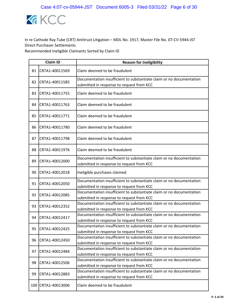

|    | <b>Claim ID</b>    | <b>Reason for Ineligibility</b>                                                                                   |
|----|--------------------|-------------------------------------------------------------------------------------------------------------------|
| 81 | CRTA1-40011569     | Claim deemed to be fraudulent                                                                                     |
| 82 | CRTA1-40011585     | Documentation insufficient to substantiate claim or no documentation<br>submitted in response to request from KCC |
| 83 | CRTA1-40011755     | Claim deemed to be fraudulent                                                                                     |
| 84 | CRTA1-40011763     | Claim deemed to be fraudulent                                                                                     |
| 85 | CRTA1-40011771     | Claim deemed to be fraudulent                                                                                     |
| 86 | CRTA1-40011780     | Claim deemed to be fraudulent                                                                                     |
| 87 | CRTA1-40011798     | Claim deemed to be fraudulent                                                                                     |
| 88 | CRTA1-40011976     | Claim deemed to be fraudulent                                                                                     |
| 89 | CRTA1-40012000     | Documentation insufficient to substantiate claim or no documentation<br>submitted in response to request from KCC |
| 90 | CRTA1-40012018     | Ineligible purchases claimed                                                                                      |
| 91 | CRTA1-40012050     | Documentation insufficient to substantiate claim or no documentation<br>submitted in response to request from KCC |
| 92 | CRTA1-40012085     | Documentation insufficient to substantiate claim or no documentation<br>submitted in response to request from KCC |
| 93 | CRTA1-40012352     | Documentation insufficient to substantiate claim or no documentation<br>submitted in response to request from KCC |
| 94 | CRTA1-40012417     | Documentation insufficient to substantiate claim or no documentation<br>submitted in response to request from KCC |
| 95 | CRTA1-40012425     | Documentation insufficient to substantiate claim or no documentation<br>submitted in response to request from KCC |
| 96 | CRTA1-40012450     | Documentation insufficient to substantiate claim or no documentation<br>submitted in response to request from KCC |
| 97 | CRTA1-40012484     | Documentation insufficient to substantiate claim or no documentation<br>submitted in response to request from KCC |
| 98 | CRTA1-40012506     | Documentation insufficient to substantiate claim or no documentation<br>submitted in response to request from KCC |
| 99 | CRTA1-40012883     | Documentation insufficient to substantiate claim or no documentation<br>submitted in response to request from KCC |
|    | 100 CRTA1-40013006 | Claim deemed to be fraudulent                                                                                     |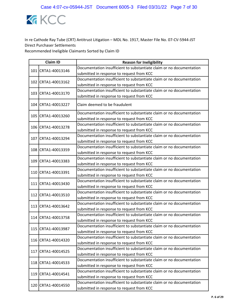

|  | <b>Claim ID</b>    | <b>Reason for Ineligibility</b>                                      |
|--|--------------------|----------------------------------------------------------------------|
|  | 101 CRTA1-40013146 | Documentation insufficient to substantiate claim or no documentation |
|  |                    | submitted in response to request from KCC                            |
|  | 102 CRTA1-40013162 | Documentation insufficient to substantiate claim or no documentation |
|  |                    | submitted in response to request from KCC                            |
|  | 103 CRTA1-40013170 | Documentation insufficient to substantiate claim or no documentation |
|  |                    | submitted in response to request from KCC                            |
|  | 104 CRTA1-40013227 | Claim deemed to be fraudulent                                        |
|  | 105 CRTA1-40013260 | Documentation insufficient to substantiate claim or no documentation |
|  |                    | submitted in response to request from KCC                            |
|  | 106 CRTA1-40013278 | Documentation insufficient to substantiate claim or no documentation |
|  |                    | submitted in response to request from KCC                            |
|  | 107 CRTA1-40013294 | Documentation insufficient to substantiate claim or no documentation |
|  |                    | submitted in response to request from KCC                            |
|  | 108 CRTA1-40013359 | Documentation insufficient to substantiate claim or no documentation |
|  |                    | submitted in response to request from KCC                            |
|  | 109 CRTA1-40013383 | Documentation insufficient to substantiate claim or no documentation |
|  |                    | submitted in response to request from KCC                            |
|  | 110 CRTA1-40013391 | Documentation insufficient to substantiate claim or no documentation |
|  |                    | submitted in response to request from KCC                            |
|  | 111 CRTA1-40013430 | Documentation insufficient to substantiate claim or no documentation |
|  |                    | submitted in response to request from KCC                            |
|  | 112 CRTA1-40013510 | Documentation insufficient to substantiate claim or no documentation |
|  |                    | submitted in response to request from KCC                            |
|  | 113 CRTA1-40013642 | Documentation insufficient to substantiate claim or no documentation |
|  |                    | submitted in response to request from KCC                            |
|  | 114 CRTA1-40013758 | Documentation insufficient to substantiate claim or no documentation |
|  |                    | submitted in response to request from KCC                            |
|  | 115 CRTA1-40013987 | Documentation insufficient to substantiate claim or no documentation |
|  |                    | submitted in response to request from KCC                            |
|  | 116 CRTA1-40014320 | Documentation insufficient to substantiate claim or no documentation |
|  |                    | submitted in response to request from KCC                            |
|  | 117 CRTA1-40014525 | Documentation insufficient to substantiate claim or no documentation |
|  |                    | submitted in response to request from KCC                            |
|  | 118 CRTA1-40014533 | Documentation insufficient to substantiate claim or no documentation |
|  |                    | submitted in response to request from KCC                            |
|  | 119 CRTA1-40014541 | Documentation insufficient to substantiate claim or no documentation |
|  |                    | submitted in response to request from KCC                            |
|  | 120 CRTA1-40014550 | Documentation insufficient to substantiate claim or no documentation |
|  |                    | submitted in response to request from KCC                            |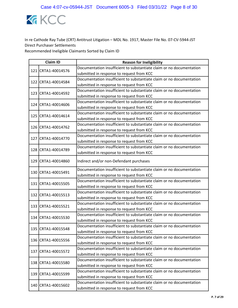

|  | <b>Claim ID</b>    | <b>Reason for Ineligibility</b>                                      |
|--|--------------------|----------------------------------------------------------------------|
|  | 121 CRTA1-40014576 | Documentation insufficient to substantiate claim or no documentation |
|  |                    | submitted in response to request from KCC                            |
|  | 122 CRTA1-40014584 | Documentation insufficient to substantiate claim or no documentation |
|  |                    | submitted in response to request from KCC                            |
|  | 123 CRTA1-40014592 | Documentation insufficient to substantiate claim or no documentation |
|  |                    | submitted in response to request from KCC                            |
|  | 124 CRTA1-40014606 | Documentation insufficient to substantiate claim or no documentation |
|  |                    | submitted in response to request from KCC                            |
|  | 125 CRTA1-40014614 | Documentation insufficient to substantiate claim or no documentation |
|  |                    | submitted in response to request from KCC                            |
|  | 126 CRTA1-40014762 | Documentation insufficient to substantiate claim or no documentation |
|  |                    | submitted in response to request from KCC                            |
|  | 127 CRTA1-40014770 | Documentation insufficient to substantiate claim or no documentation |
|  |                    | submitted in response to request from KCC                            |
|  | 128 CRTA1-40014789 | Documentation insufficient to substantiate claim or no documentation |
|  |                    | submitted in response to request from KCC                            |
|  | 129 CRTA1-40014860 | Indirect and/or non-Defendant purchases                              |
|  | 130 CRTA1-40015491 | Documentation insufficient to substantiate claim or no documentation |
|  |                    | submitted in response to request from KCC                            |
|  | 131 CRTA1-40015505 | Documentation insufficient to substantiate claim or no documentation |
|  |                    | submitted in response to request from KCC                            |
|  | 132 CRTA1-40015513 | Documentation insufficient to substantiate claim or no documentation |
|  |                    | submitted in response to request from KCC                            |
|  | 133 CRTA1-40015521 | Documentation insufficient to substantiate claim or no documentation |
|  |                    | submitted in response to request from KCC                            |
|  | 134 CRTA1-40015530 | Documentation insufficient to substantiate claim or no documentation |
|  |                    | submitted in response to request from KCC                            |
|  | 135 CRTA1-40015548 | Documentation insufficient to substantiate claim or no documentation |
|  |                    | submitted in response to request from KCC                            |
|  | 136 CRTA1-40015556 | Documentation insufficient to substantiate claim or no documentation |
|  |                    | submitted in response to request from KCC                            |
|  | 137 CRTA1-40015572 | Documentation insufficient to substantiate claim or no documentation |
|  |                    | submitted in response to request from KCC                            |
|  | 138 CRTA1-40015580 | Documentation insufficient to substantiate claim or no documentation |
|  |                    | submitted in response to request from KCC                            |
|  | 139 CRTA1-40015599 | Documentation insufficient to substantiate claim or no documentation |
|  |                    | submitted in response to request from KCC                            |
|  | 140 CRTA1-40015602 | Documentation insufficient to substantiate claim or no documentation |
|  |                    | submitted in response to request from KCC                            |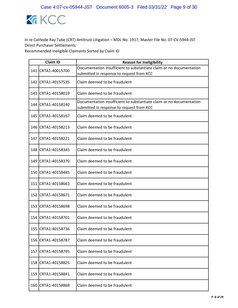

|     | <b>Claim ID</b>      | <b>Reason for Ineligibility</b>                                                                                   |
|-----|----------------------|-------------------------------------------------------------------------------------------------------------------|
|     | 141 CRTA1-40015700   | Documentation insufficient to substantiate claim or no documentation<br>submitted in response to request from KCC |
|     | 142 CRTA1-40157535   | Claim deemed to be fraudulent                                                                                     |
|     | 143 CRTA1-40158019   | Claim deemed to be fraudulent                                                                                     |
|     | 144   CRTA1-40158140 | Documentation insufficient to substantiate claim or no documentation<br>submitted in response to request from KCC |
|     | 145 CRTA1-40158167   | Claim deemed to be fraudulent                                                                                     |
|     | 146 CRTA1-40158213   | Claim deemed to be fraudulent                                                                                     |
|     | 147 CRTA1-40158221   | Claim deemed to be fraudulent                                                                                     |
|     | 148 CRTA1-40158345   | Claim deemed to be fraudulent                                                                                     |
|     | 149 CRTA1-40158370   | Claim deemed to be fraudulent                                                                                     |
|     | 150 CRTA1-40158485   | Claim deemed to be fraudulent                                                                                     |
|     | 151 CRTA1-40158663   | Claim deemed to be fraudulent                                                                                     |
|     | 152 CRTA1-40158671   | Claim deemed to be fraudulent                                                                                     |
|     | 153 CRTA1-40158698   | Claim deemed to be fraudulent                                                                                     |
|     | 154 CRTA1-40158701   | Claim deemed to be fraudulent                                                                                     |
|     | 155 CRTA1-40158736   | Claim deemed to be fraudulent                                                                                     |
| 156 | CRTA1-40158787       | Claim deemed to be fraudulent                                                                                     |
| 157 | CRTA1-40158795       | Claim deemed to be fraudulent                                                                                     |
| 158 | CRTA1-40158825       | Claim deemed to be fraudulent                                                                                     |
|     | 159 CRTA1-40158841   | Claim deemed to be fraudulent                                                                                     |
| 160 | CRTA1-40158868       | Claim deemed to be fraudulent                                                                                     |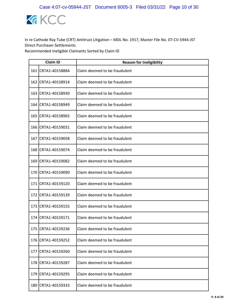

|       | <b>Claim ID</b>    | <b>Reason for Ineligibility</b> |
|-------|--------------------|---------------------------------|
|       | 161 CRTA1-40158884 | Claim deemed to be fraudulent   |
|       | 162 CRTA1-40158914 | Claim deemed to be fraudulent   |
|       | 163 CRTA1-40158930 | Claim deemed to be fraudulent   |
|       | 164 CRTA1-40158949 | Claim deemed to be fraudulent   |
|       | 165 CRTA1-40158965 | Claim deemed to be fraudulent   |
|       | 166 CRTA1-40159031 | Claim deemed to be fraudulent   |
|       | 167 CRTA1-40159058 | Claim deemed to be fraudulent   |
|       | 168 CRTA1-40159074 | Claim deemed to be fraudulent   |
| 169   | CRTA1-40159082     | Claim deemed to be fraudulent   |
|       | 170 CRTA1-40159090 | Claim deemed to be fraudulent   |
|       | 171 CRTA1-40159120 | Claim deemed to be fraudulent   |
| 172   | CRTA1-40159139     | Claim deemed to be fraudulent   |
|       | 173 CRTA1-40159155 | Claim deemed to be fraudulent   |
| 174 l | CRTA1-40159171     | Claim deemed to be fraudulent   |
|       | 175 CRTA1-40159236 | Claim deemed to be fraudulent   |
| 176   | CRTA1-40159252     | Claim deemed to be fraudulent   |
|       | 177 CRTA1-40159260 | Claim deemed to be fraudulent   |
| 178   | CRTA1-40159287     | Claim deemed to be fraudulent   |
|       | 179 CRTA1-40159295 | Claim deemed to be fraudulent   |
| 180   | CRTA1-40159333     | Claim deemed to be fraudulent   |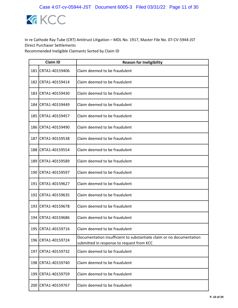

|       | <b>Claim ID</b>      | <b>Reason for Ineligibility</b>                                                                                   |
|-------|----------------------|-------------------------------------------------------------------------------------------------------------------|
|       | 181 CRTA1-40159406   | Claim deemed to be fraudulent                                                                                     |
| 182   | CRTA1-40159414       | Claim deemed to be fraudulent                                                                                     |
|       | 183 CRTA1-40159430   | Claim deemed to be fraudulent                                                                                     |
|       | 184 CRTA1-40159449   | Claim deemed to be fraudulent                                                                                     |
| 185   | CRTA1-40159457       | Claim deemed to be fraudulent                                                                                     |
|       | 186 CRTA1-40159490   | Claim deemed to be fraudulent                                                                                     |
| 187   | CRTA1-40159538       | Claim deemed to be fraudulent                                                                                     |
|       | 188 CRTA1-40159554   | Claim deemed to be fraudulent                                                                                     |
| 189   | CRTA1-40159589       | Claim deemed to be fraudulent                                                                                     |
|       | 190 CRTA1-40159597   | Claim deemed to be fraudulent                                                                                     |
|       | 191   CRTA1-40159627 | Claim deemed to be fraudulent                                                                                     |
| 192 l | CRTA1-40159635       | Claim deemed to be fraudulent                                                                                     |
|       | 193 CRTA1-40159678   | Claim deemed to be fraudulent                                                                                     |
|       | 194 CRTA1-40159686   | Claim deemed to be fraudulent                                                                                     |
|       | 195 CRTA1-40159716   | Claim deemed to be fraudulent                                                                                     |
|       | 196 CRTA1-40159724   | Documentation insufficient to substantiate claim or no documentation<br>submitted in response to request from KCC |
|       | 197 CRTA1-40159732   | Claim deemed to be fraudulent                                                                                     |
| 198   | CRTA1-40159740       | Claim deemed to be fraudulent                                                                                     |
|       | 199 CRTA1-40159759   | Claim deemed to be fraudulent                                                                                     |
| 200   | CRTA1-40159767       | Claim deemed to be fraudulent                                                                                     |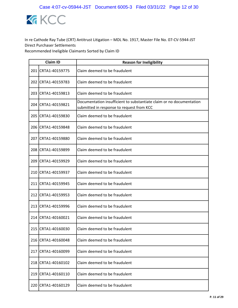

|     | <b>Claim ID</b>    | <b>Reason for Ineligibility</b>                                                                                   |
|-----|--------------------|-------------------------------------------------------------------------------------------------------------------|
|     | 201 CRTA1-40159775 | Claim deemed to be fraudulent                                                                                     |
|     | 202 CRTA1-40159783 | Claim deemed to be fraudulent                                                                                     |
|     | 203 CRTA1-40159813 | Claim deemed to be fraudulent                                                                                     |
|     | 204 CRTA1-40159821 | Documentation insufficient to substantiate claim or no documentation<br>submitted in response to request from KCC |
|     | 205 CRTA1-40159830 | Claim deemed to be fraudulent                                                                                     |
|     | 206 CRTA1-40159848 | Claim deemed to be fraudulent                                                                                     |
| 207 | CRTA1-40159880     | Claim deemed to be fraudulent                                                                                     |
|     | 208 CRTA1-40159899 | Claim deemed to be fraudulent                                                                                     |
|     | 209 CRTA1-40159929 | Claim deemed to be fraudulent                                                                                     |
|     | 210 CRTA1-40159937 | Claim deemed to be fraudulent                                                                                     |
|     | 211 CRTA1-40159945 | Claim deemed to be fraudulent                                                                                     |
|     | 212 CRTA1-40159953 | Claim deemed to be fraudulent                                                                                     |
|     | 213 CRTA1-40159996 | Claim deemed to be fraudulent                                                                                     |
|     | 214 CRTA1-40160021 | Claim deemed to be fraudulent                                                                                     |
|     | 215 CRTA1-40160030 | Claim deemed to be fraudulent                                                                                     |
|     | 216 CRTA1-40160048 | Claim deemed to be fraudulent                                                                                     |
|     | 217 CRTA1-40160099 | Claim deemed to be fraudulent                                                                                     |
|     | 218 CRTA1-40160102 | Claim deemed to be fraudulent                                                                                     |
|     | 219 CRTA1-40160110 | Claim deemed to be fraudulent                                                                                     |
| 220 | CRTA1-40160129     | Claim deemed to be fraudulent                                                                                     |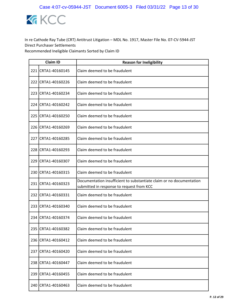

|     | <b>Claim ID</b>    | <b>Reason for Ineligibility</b>                                                                                   |
|-----|--------------------|-------------------------------------------------------------------------------------------------------------------|
|     | 221 CRTA1-40160145 | Claim deemed to be fraudulent                                                                                     |
| 222 | CRTA1-40160226     | Claim deemed to be fraudulent                                                                                     |
|     | 223 CRTA1-40160234 | Claim deemed to be fraudulent                                                                                     |
|     | 224 CRTA1-40160242 | Claim deemed to be fraudulent                                                                                     |
|     | 225 CRTA1-40160250 | Claim deemed to be fraudulent                                                                                     |
|     | 226 CRTA1-40160269 | Claim deemed to be fraudulent                                                                                     |
|     | 227 CRTA1-40160285 | Claim deemed to be fraudulent                                                                                     |
|     | 228 CRTA1-40160293 | Claim deemed to be fraudulent                                                                                     |
|     | 229 CRTA1-40160307 | Claim deemed to be fraudulent                                                                                     |
|     | 230 CRTA1-40160315 | Claim deemed to be fraudulent                                                                                     |
|     | 231 CRTA1-40160323 | Documentation insufficient to substantiate claim or no documentation<br>submitted in response to request from KCC |
| 232 | CRTA1-40160331     | Claim deemed to be fraudulent                                                                                     |
|     | 233 CRTA1-40160340 | Claim deemed to be fraudulent                                                                                     |
|     | 234 CRTA1-40160374 | Claim deemed to be fraudulent                                                                                     |
|     | 235 CRTA1-40160382 | Claim deemed to be fraudulent                                                                                     |
| 236 | CRTA1-40160412     | Claim deemed to be fraudulent                                                                                     |
| 237 | CRTA1-40160420     | Claim deemed to be fraudulent                                                                                     |
| 238 | CRTA1-40160447     | Claim deemed to be fraudulent                                                                                     |
|     | 239 CRTA1-40160455 | Claim deemed to be fraudulent                                                                                     |
| 240 | CRTA1-40160463     | Claim deemed to be fraudulent                                                                                     |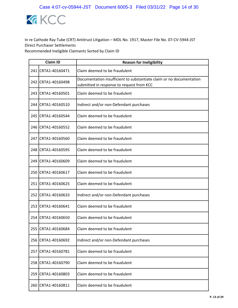

|       | <b>Claim ID</b>    | <b>Reason for Ineligibility</b>                                                                                   |
|-------|--------------------|-------------------------------------------------------------------------------------------------------------------|
|       | 241 CRTA1-40160471 | Claim deemed to be fraudulent                                                                                     |
| 242 l | CRTA1-40160498     | Documentation insufficient to substantiate claim or no documentation<br>submitted in response to request from KCC |
|       | 243 CRTA1-40160501 | Claim deemed to be fraudulent                                                                                     |
|       | 244 CRTA1-40160510 | Indirect and/or non-Defendant purchases                                                                           |
|       | 245 CRTA1-40160544 | Claim deemed to be fraudulent                                                                                     |
|       | 246 CRTA1-40160552 | Claim deemed to be fraudulent                                                                                     |
|       | 247 CRTA1-40160560 | Claim deemed to be fraudulent                                                                                     |
|       | 248 CRTA1-40160595 | Claim deemed to be fraudulent                                                                                     |
| 249   | CRTA1-40160609     | Claim deemed to be fraudulent                                                                                     |
|       | 250 CRTA1-40160617 | Claim deemed to be fraudulent                                                                                     |
|       | 251 CRTA1-40160625 | Claim deemed to be fraudulent                                                                                     |
| 252   | CRTA1-40160633     | Indirect and/or non-Defendant purchases                                                                           |
|       | 253 CRTA1-40160641 | Claim deemed to be fraudulent                                                                                     |
|       | 254 CRTA1-40160650 | Claim deemed to be fraudulent                                                                                     |
|       | 255 CRTA1-40160684 | Claim deemed to be fraudulent                                                                                     |
| 256   | CRTA1-40160692     | Indirect and/or non-Defendant purchases                                                                           |
| 257   | CRTA1-40160781     | Claim deemed to be fraudulent                                                                                     |
| 258   | CRTA1-40160790     | Claim deemed to be fraudulent                                                                                     |
|       | 259 CRTA1-40160803 | Claim deemed to be fraudulent                                                                                     |
| 260   | CRTA1-40160811     | Claim deemed to be fraudulent                                                                                     |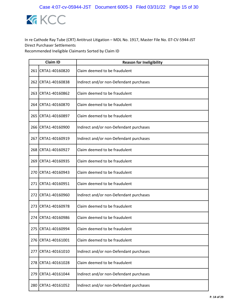

|     | <b>Claim ID</b>    | <b>Reason for Ineligibility</b>         |
|-----|--------------------|-----------------------------------------|
|     | 261 CRTA1-40160820 | Claim deemed to be fraudulent           |
|     | 262 CRTA1-40160838 | Indirect and/or non-Defendant purchases |
|     | 263 CRTA1-40160862 | Claim deemed to be fraudulent           |
|     | 264 CRTA1-40160870 | Claim deemed to be fraudulent           |
|     | 265 CRTA1-40160897 | Claim deemed to be fraudulent           |
|     | 266 CRTA1-40160900 | Indirect and/or non-Defendant purchases |
| 267 | CRTA1-40160919     | Indirect and/or non-Defendant purchases |
|     | 268 CRTA1-40160927 | Claim deemed to be fraudulent           |
| 269 | CRTA1-40160935     | Claim deemed to be fraudulent           |
|     | 270 CRTA1-40160943 | Claim deemed to be fraudulent           |
|     | 271 CRTA1-40160951 | Claim deemed to be fraudulent           |
| 272 | CRTA1-40160960     | Indirect and/or non-Defendant purchases |
|     | 273 CRTA1-40160978 | Claim deemed to be fraudulent           |
| 274 | CRTA1-40160986     | Claim deemed to be fraudulent           |
|     | 275 CRTA1-40160994 | Claim deemed to be fraudulent           |
| 276 | CRTA1-40161001     | Claim deemed to be fraudulent           |
| 277 | CRTA1-40161010     | Indirect and/or non-Defendant purchases |
| 278 | CRTA1-40161028     | Claim deemed to be fraudulent           |
| 279 | CRTA1-40161044     | Indirect and/or non-Defendant purchases |
| 280 | CRTA1-40161052     | Indirect and/or non-Defendant purchases |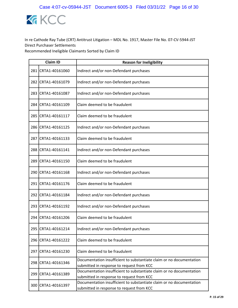

|     | <b>Claim ID</b>    | <b>Reason for Ineligibility</b>                                                                                   |
|-----|--------------------|-------------------------------------------------------------------------------------------------------------------|
| 281 | CRTA1-40161060     | Indirect and/or non-Defendant purchases                                                                           |
| 282 | CRTA1-40161079     | Indirect and/or non-Defendant purchases                                                                           |
| 283 | CRTA1-40161087     | Indirect and/or non-Defendant purchases                                                                           |
| 284 | CRTA1-40161109     | Claim deemed to be fraudulent                                                                                     |
| 285 | CRTA1-40161117     | Claim deemed to be fraudulent                                                                                     |
|     | 286 CRTA1-40161125 | Indirect and/or non-Defendant purchases                                                                           |
| 287 | CRTA1-40161133     | Claim deemed to be fraudulent                                                                                     |
|     | 288 CRTA1-40161141 | Indirect and/or non-Defendant purchases                                                                           |
| 289 | CRTA1-40161150     | Claim deemed to be fraudulent                                                                                     |
|     | 290 CRTA1-40161168 | Indirect and/or non-Defendant purchases                                                                           |
|     | 291 CRTA1-40161176 | Claim deemed to be fraudulent                                                                                     |
| 292 | CRTA1-40161184     | Indirect and/or non-Defendant purchases                                                                           |
| 293 | CRTA1-40161192     | Indirect and/or non-Defendant purchases                                                                           |
| 294 | CRTA1-40161206     | Claim deemed to be fraudulent                                                                                     |
| 295 | CRTA1-40161214     | Indirect and/or non-Defendant purchases                                                                           |
| 296 | CRTA1-40161222     | Claim deemed to be fraudulent                                                                                     |
|     | 297 CRTA1-40161230 | Claim deemed to be fraudulent                                                                                     |
| 298 | CRTA1-40161346     | Documentation insufficient to substantiate claim or no documentation<br>submitted in response to request from KCC |
| 299 | CRTA1-40161389     | Documentation insufficient to substantiate claim or no documentation<br>submitted in response to request from KCC |
| 300 | CRTA1-40161397     | Documentation insufficient to substantiate claim or no documentation<br>submitted in response to request from KCC |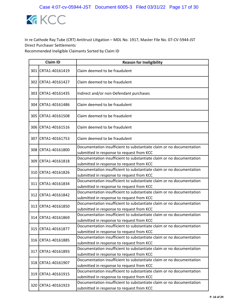

| <b>Claim ID</b>    | <b>Reason for Ineligibility</b>                                                                                   |
|--------------------|-------------------------------------------------------------------------------------------------------------------|
| 301 CRTA1-40161419 | Claim deemed to be fraudulent                                                                                     |
| 302 CRTA1-40161427 | Claim deemed to be fraudulent                                                                                     |
| 303 CRTA1-40161435 | Indirect and/or non-Defendant purchases                                                                           |
| 304 CRTA1-40161486 | Claim deemed to be fraudulent                                                                                     |
| 305 CRTA1-40161508 | Claim deemed to be fraudulent                                                                                     |
| 306 CRTA1-40161516 | Claim deemed to be fraudulent                                                                                     |
| 307 CRTA1-40161753 | Claim deemed to be fraudulent                                                                                     |
| 308 CRTA1-40161800 | Documentation insufficient to substantiate claim or no documentation<br>submitted in response to request from KCC |
| 309 CRTA1-40161818 | Documentation insufficient to substantiate claim or no documentation<br>submitted in response to request from KCC |
| 310 CRTA1-40161826 | Documentation insufficient to substantiate claim or no documentation<br>submitted in response to request from KCC |
| 311 CRTA1-40161834 | Documentation insufficient to substantiate claim or no documentation<br>submitted in response to request from KCC |
| 312 CRTA1-40161842 | Documentation insufficient to substantiate claim or no documentation<br>submitted in response to request from KCC |
| 313 CRTA1-40161850 | Documentation insufficient to substantiate claim or no documentation<br>submitted in response to request from KCC |
| 314 CRTA1-40161869 | Documentation insufficient to substantiate claim or no documentation<br>submitted in response to request from KCC |
| 315 CRTA1-40161877 | Documentation insufficient to substantiate claim or no documentation<br>submitted in response to request from KCC |
| 316 CRTA1-40161885 | Documentation insufficient to substantiate claim or no documentation<br>submitted in response to request from KCC |
| 317 CRTA1-40161893 | Documentation insufficient to substantiate claim or no documentation<br>submitted in response to request from KCC |
| 318 CRTA1-40161907 | Documentation insufficient to substantiate claim or no documentation<br>submitted in response to request from KCC |
| 319 CRTA1-40161915 | Documentation insufficient to substantiate claim or no documentation<br>submitted in response to request from KCC |
| 320 CRTA1-40161923 | Documentation insufficient to substantiate claim or no documentation<br>submitted in response to request from KCC |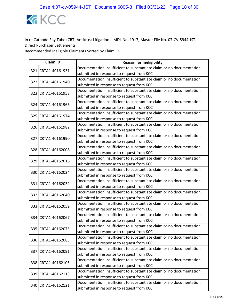

|  | <b>Claim ID</b>    | <b>Reason for Ineligibility</b>                                      |
|--|--------------------|----------------------------------------------------------------------|
|  | 321 CRTA1-40161931 | Documentation insufficient to substantiate claim or no documentation |
|  |                    | submitted in response to request from KCC                            |
|  | 322 CRTA1-40161940 | Documentation insufficient to substantiate claim or no documentation |
|  |                    | submitted in response to request from KCC                            |
|  | 323 CRTA1-40161958 | Documentation insufficient to substantiate claim or no documentation |
|  |                    | submitted in response to request from KCC                            |
|  | 324 CRTA1-40161966 | Documentation insufficient to substantiate claim or no documentation |
|  |                    | submitted in response to request from KCC                            |
|  | 325 CRTA1-40161974 | Documentation insufficient to substantiate claim or no documentation |
|  |                    | submitted in response to request from KCC                            |
|  | 326 CRTA1-40161982 | Documentation insufficient to substantiate claim or no documentation |
|  |                    | submitted in response to request from KCC                            |
|  | 327 CRTA1-40161990 | Documentation insufficient to substantiate claim or no documentation |
|  |                    | submitted in response to request from KCC                            |
|  | 328 CRTA1-40162008 | Documentation insufficient to substantiate claim or no documentation |
|  |                    | submitted in response to request from KCC                            |
|  | 329 CRTA1-40162016 | Documentation insufficient to substantiate claim or no documentation |
|  |                    | submitted in response to request from KCC                            |
|  | 330 CRTA1-40162024 | Documentation insufficient to substantiate claim or no documentation |
|  |                    | submitted in response to request from KCC                            |
|  | 331 CRTA1-40162032 | Documentation insufficient to substantiate claim or no documentation |
|  |                    | submitted in response to request from KCC                            |
|  | 332 CRTA1-40162040 | Documentation insufficient to substantiate claim or no documentation |
|  |                    | submitted in response to request from KCC                            |
|  | 333 CRTA1-40162059 | Documentation insufficient to substantiate claim or no documentation |
|  |                    | submitted in response to request from KCC                            |
|  | 334 CRTA1-40162067 | Documentation insufficient to substantiate claim or no documentation |
|  |                    | submitted in response to request from KCC                            |
|  | 335 CRTA1-40162075 | Documentation insufficient to substantiate claim or no documentation |
|  |                    | submitted in response to request from KCC                            |
|  | 336 CRTA1-40162083 | Documentation insufficient to substantiate claim or no documentation |
|  |                    | submitted in response to request from KCC                            |
|  | 337 CRTA1-40162091 | Documentation insufficient to substantiate claim or no documentation |
|  |                    | submitted in response to request from KCC                            |
|  | 338 CRTA1-40162105 | Documentation insufficient to substantiate claim or no documentation |
|  |                    | submitted in response to request from KCC                            |
|  | 339 CRTA1-40162113 | Documentation insufficient to substantiate claim or no documentation |
|  |                    | submitted in response to request from KCC                            |
|  | 340 CRTA1-40162121 | Documentation insufficient to substantiate claim or no documentation |
|  |                    | submitted in response to request from KCC                            |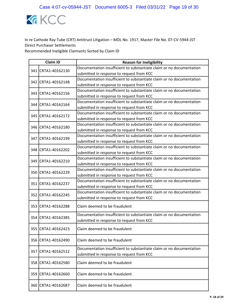

|     | <b>Claim ID</b>    | <b>Reason for Ineligibility</b>                                                                                   |
|-----|--------------------|-------------------------------------------------------------------------------------------------------------------|
|     | 341 CRTA1-40162130 | Documentation insufficient to substantiate claim or no documentation                                              |
|     |                    | submitted in response to request from KCC                                                                         |
|     | 342 CRTA1-40162148 | Documentation insufficient to substantiate claim or no documentation                                              |
|     |                    | submitted in response to request from KCC                                                                         |
|     | 343 CRTA1-40162156 | Documentation insufficient to substantiate claim or no documentation                                              |
|     |                    | submitted in response to request from KCC                                                                         |
|     | 344 CRTA1-40162164 | Documentation insufficient to substantiate claim or no documentation                                              |
|     |                    | submitted in response to request from KCC                                                                         |
|     | 345 CRTA1-40162172 | Documentation insufficient to substantiate claim or no documentation                                              |
|     |                    | submitted in response to request from KCC                                                                         |
|     | 346 CRTA1-40162180 | Documentation insufficient to substantiate claim or no documentation                                              |
|     |                    | submitted in response to request from KCC                                                                         |
|     | 347 CRTA1-40162199 | Documentation insufficient to substantiate claim or no documentation                                              |
|     |                    | submitted in response to request from KCC                                                                         |
|     | 348 CRTA1-40162202 | Documentation insufficient to substantiate claim or no documentation                                              |
|     |                    | submitted in response to request from KCC                                                                         |
|     | 349 CRTA1-40162210 | Documentation insufficient to substantiate claim or no documentation                                              |
|     |                    | submitted in response to request from KCC                                                                         |
|     | 350 CRTA1-40162229 | Documentation insufficient to substantiate claim or no documentation                                              |
|     |                    | submitted in response to request from KCC                                                                         |
|     | 351 CRTA1-40162237 | Documentation insufficient to substantiate claim or no documentation                                              |
|     |                    | submitted in response to request from KCC                                                                         |
|     | 352 CRTA1-40162245 | Documentation insufficient to substantiate claim or no documentation                                              |
|     |                    | submitted in response to request from KCC                                                                         |
|     | 353 CRTA1-40162288 | Claim deemed to be fraudulent                                                                                     |
|     | 354 CRTA1-40162385 | Documentation insufficient to substantiate claim or no documentation                                              |
|     |                    | submitted in response to request from KCC                                                                         |
|     | 355 CRTA1-40162423 | Claim deemed to be fraudulent                                                                                     |
| 356 | CRTA1-40162490     | Claim deemed to be fraudulent                                                                                     |
| 357 | CRTA1-40162512     | Documentation insufficient to substantiate claim or no documentation<br>submitted in response to request from KCC |
| 358 | CRTA1-40162580     | Claim deemed to be fraudulent                                                                                     |
|     | 359 CRTA1-40162660 | Claim deemed to be fraudulent                                                                                     |
|     | 360 CRTA1-40162687 | Claim deemed to be fraudulent                                                                                     |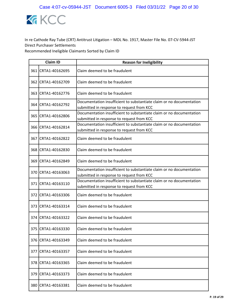

|     | <b>Claim ID</b>     | <b>Reason for Ineligibility</b>                                                                                   |
|-----|---------------------|-------------------------------------------------------------------------------------------------------------------|
|     | 361 CRTA1-40162695  | Claim deemed to be fraudulent                                                                                     |
|     | 362 ICRTA1-40162709 | Claim deemed to be fraudulent                                                                                     |
|     | 363 CRTA1-40162776  | Claim deemed to be fraudulent                                                                                     |
|     | 364 CRTA1-40162792  | Documentation insufficient to substantiate claim or no documentation<br>submitted in response to request from KCC |
|     | 365 CRTA1-40162806  | Documentation insufficient to substantiate claim or no documentation<br>submitted in response to request from KCC |
|     | 366 CRTA1-40162814  | Documentation insufficient to substantiate claim or no documentation<br>submitted in response to request from KCC |
|     | 367 CRTA1-40162822  | Claim deemed to be fraudulent                                                                                     |
|     | 368 CRTA1-40162830  | Claim deemed to be fraudulent                                                                                     |
|     | 369 CRTA1-40162849  | Claim deemed to be fraudulent                                                                                     |
|     | 370 CRTA1-40163063  | Documentation insufficient to substantiate claim or no documentation<br>submitted in response to request from KCC |
|     | 371 CRTA1-40163110  | Documentation insufficient to substantiate claim or no documentation<br>submitted in response to request from KCC |
|     | 372 CRTA1-40163306  | Claim deemed to be fraudulent                                                                                     |
|     | 373 CRTA1-40163314  | Claim deemed to be fraudulent                                                                                     |
|     | 374 CRTA1-40163322  | Claim deemed to be fraudulent                                                                                     |
|     | 375 CRTA1-40163330  | Claim deemed to be fraudulent                                                                                     |
| 376 | CRTA1-40163349      | Claim deemed to be fraudulent                                                                                     |
| 377 | CRTA1-40163357      | Claim deemed to be fraudulent                                                                                     |
| 378 | CRTA1-40163365      | Claim deemed to be fraudulent                                                                                     |
| 379 | CRTA1-40163373      | Claim deemed to be fraudulent                                                                                     |
| 380 | CRTA1-40163381      | Claim deemed to be fraudulent                                                                                     |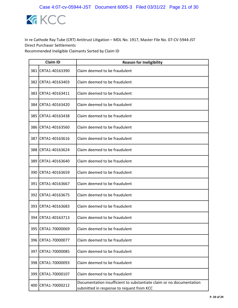

|       | <b>Claim ID</b>    | <b>Reason for Ineligibility</b>                                                                                   |  |
|-------|--------------------|-------------------------------------------------------------------------------------------------------------------|--|
| 381   | CRTA1-40163390     | Claim deemed to be fraudulent                                                                                     |  |
| 382   | CRTA1-40163403     | Claim deemed to be fraudulent                                                                                     |  |
| 383   | CRTA1-40163411     | Claim deemed to be fraudulent                                                                                     |  |
| 384   | CRTA1-40163420     | Claim deemed to be fraudulent                                                                                     |  |
| 385   | CRTA1-40163438     | Claim deemed to be fraudulent                                                                                     |  |
|       | 386 CRTA1-40163560 | Claim deemed to be fraudulent                                                                                     |  |
| 387   | CRTA1-40163616     | Claim deemed to be fraudulent                                                                                     |  |
| 388   | CRTA1-40163624     | Claim deemed to be fraudulent                                                                                     |  |
| 389   | CRTA1-40163640     | Claim deemed to be fraudulent                                                                                     |  |
| 390   | CRTA1-40163659     | Claim deemed to be fraudulent                                                                                     |  |
| 391 l | CRTA1-40163667     | Claim deemed to be fraudulent                                                                                     |  |
| 392   | CRTA1-40163675     | Claim deemed to be fraudulent                                                                                     |  |
|       | 393 CRTA1-40163683 | Claim deemed to be fraudulent                                                                                     |  |
| 394   | CRTA1-40163713     | Claim deemed to be fraudulent                                                                                     |  |
|       | 395 CRTA1-70000069 | Claim deemed to be fraudulent                                                                                     |  |
| 396   | CRTA1-70000077     | Claim deemed to be fraudulent                                                                                     |  |
|       | 397 CRTA1-70000085 | Claim deemed to be fraudulent                                                                                     |  |
| 398   | CRTA1-70000093     | Claim deemed to be fraudulent                                                                                     |  |
|       | 399 CRTA1-70000107 | Claim deemed to be fraudulent                                                                                     |  |
| 400   | CRTA1-70000212     | Documentation insufficient to substantiate claim or no documentation<br>submitted in response to request from KCC |  |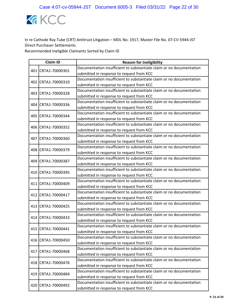

|  | <b>Claim ID</b>    | <b>Reason for Ineligibility</b>                                      |
|--|--------------------|----------------------------------------------------------------------|
|  | 401 CRTA1-70000301 | Documentation insufficient to substantiate claim or no documentation |
|  |                    | submitted in response to request from KCC                            |
|  | 402 CRTA1-70000310 | Documentation insufficient to substantiate claim or no documentation |
|  |                    | submitted in response to request from KCC                            |
|  | 403 CRTA1-70000328 | Documentation insufficient to substantiate claim or no documentation |
|  |                    | submitted in response to request from KCC                            |
|  | 404 CRTA1-70000336 | Documentation insufficient to substantiate claim or no documentation |
|  |                    | submitted in response to request from KCC                            |
|  | 405 CRTA1-70000344 | Documentation insufficient to substantiate claim or no documentation |
|  |                    | submitted in response to request from KCC                            |
|  | 406 CRTA1-70000352 | Documentation insufficient to substantiate claim or no documentation |
|  |                    | submitted in response to request from KCC                            |
|  | 407 CRTA1-70000360 | Documentation insufficient to substantiate claim or no documentation |
|  |                    | submitted in response to request from KCC                            |
|  | 408 CRTA1-70000379 | Documentation insufficient to substantiate claim or no documentation |
|  |                    | submitted in response to request from KCC                            |
|  | 409 CRTA1-70000387 | Documentation insufficient to substantiate claim or no documentation |
|  |                    | submitted in response to request from KCC                            |
|  | 410 CRTA1-70000395 | Documentation insufficient to substantiate claim or no documentation |
|  |                    | submitted in response to request from KCC                            |
|  | 411 CRTA1-70000409 | Documentation insufficient to substantiate claim or no documentation |
|  |                    | submitted in response to request from KCC                            |
|  | 412 CRTA1-70000417 | Documentation insufficient to substantiate claim or no documentation |
|  |                    | submitted in response to request from KCC                            |
|  | 413 CRTA1-70000425 | Documentation insufficient to substantiate claim or no documentation |
|  |                    | submitted in response to request from KCC                            |
|  | 414 CRTA1-70000433 | Documentation insufficient to substantiate claim or no documentation |
|  |                    | submitted in response to request from KCC                            |
|  | 415 CRTA1-70000441 | Documentation insufficient to substantiate claim or no documentation |
|  |                    | submitted in response to request from KCC                            |
|  |                    | Documentation insufficient to substantiate claim or no documentation |
|  | 416 CRTA1-70000450 | submitted in response to request from KCC                            |
|  |                    | Documentation insufficient to substantiate claim or no documentation |
|  | 417 CRTA1-70000468 | submitted in response to request from KCC                            |
|  |                    | Documentation insufficient to substantiate claim or no documentation |
|  | 418 CRTA1-70000476 | submitted in response to request from KCC                            |
|  |                    | Documentation insufficient to substantiate claim or no documentation |
|  | 419 CRTA1-70000484 | submitted in response to request from KCC                            |
|  | 420 CRTA1-70000492 | Documentation insufficient to substantiate claim or no documentation |
|  |                    | submitted in response to request from KCC                            |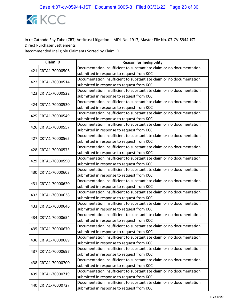

|  | <b>Claim ID</b>    | <b>Reason for Ineligibility</b>                                      |
|--|--------------------|----------------------------------------------------------------------|
|  | 421 CRTA1-70000506 | Documentation insufficient to substantiate claim or no documentation |
|  |                    | submitted in response to request from KCC                            |
|  | 422 CRTA1-70000514 | Documentation insufficient to substantiate claim or no documentation |
|  |                    | submitted in response to request from KCC                            |
|  | 423 CRTA1-70000522 | Documentation insufficient to substantiate claim or no documentation |
|  |                    | submitted in response to request from KCC                            |
|  | 424 CRTA1-70000530 | Documentation insufficient to substantiate claim or no documentation |
|  |                    | submitted in response to request from KCC                            |
|  | 425 CRTA1-70000549 | Documentation insufficient to substantiate claim or no documentation |
|  |                    | submitted in response to request from KCC                            |
|  | 426 CRTA1-70000557 | Documentation insufficient to substantiate claim or no documentation |
|  |                    | submitted in response to request from KCC                            |
|  | 427 CRTA1-70000565 | Documentation insufficient to substantiate claim or no documentation |
|  |                    | submitted in response to request from KCC                            |
|  | 428 CRTA1-70000573 | Documentation insufficient to substantiate claim or no documentation |
|  |                    | submitted in response to request from KCC                            |
|  | 429 CRTA1-70000590 | Documentation insufficient to substantiate claim or no documentation |
|  |                    | submitted in response to request from KCC                            |
|  | 430 CRTA1-70000603 | Documentation insufficient to substantiate claim or no documentation |
|  |                    | submitted in response to request from KCC                            |
|  | 431 CRTA1-70000620 | Documentation insufficient to substantiate claim or no documentation |
|  |                    | submitted in response to request from KCC                            |
|  | 432 CRTA1-70000638 | Documentation insufficient to substantiate claim or no documentation |
|  |                    | submitted in response to request from KCC                            |
|  | 433 CRTA1-70000646 | Documentation insufficient to substantiate claim or no documentation |
|  |                    | submitted in response to request from KCC                            |
|  | 434 CRTA1-70000654 | Documentation insufficient to substantiate claim or no documentation |
|  |                    | submitted in response to request from KCC                            |
|  | 435 CRTA1-70000670 | Documentation insufficient to substantiate claim or no documentation |
|  |                    | submitted in response to request from KCC                            |
|  | 436 CRTA1-70000689 | Documentation insufficient to substantiate claim or no documentation |
|  |                    | submitted in response to request from KCC                            |
|  | 437 CRTA1-70000697 | Documentation insufficient to substantiate claim or no documentation |
|  |                    | submitted in response to request from KCC                            |
|  | 438 CRTA1-70000700 | Documentation insufficient to substantiate claim or no documentation |
|  |                    | submitted in response to request from KCC                            |
|  | 439 CRTA1-70000719 | Documentation insufficient to substantiate claim or no documentation |
|  |                    | submitted in response to request from KCC                            |
|  | 440 CRTA1-70000727 | Documentation insufficient to substantiate claim or no documentation |
|  |                    | submitted in response to request from KCC                            |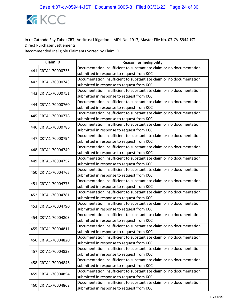

|  | <b>Claim ID</b>    | <b>Reason for Ineligibility</b>                                      |
|--|--------------------|----------------------------------------------------------------------|
|  | 441 CRTA1-70000735 | Documentation insufficient to substantiate claim or no documentation |
|  |                    | submitted in response to request from KCC                            |
|  | 442 CRTA1-70000743 | Documentation insufficient to substantiate claim or no documentation |
|  |                    | submitted in response to request from KCC                            |
|  | 443 CRTA1-70000751 | Documentation insufficient to substantiate claim or no documentation |
|  |                    | submitted in response to request from KCC                            |
|  | 444 CRTA1-70000760 | Documentation insufficient to substantiate claim or no documentation |
|  |                    | submitted in response to request from KCC                            |
|  | 445 CRTA1-70000778 | Documentation insufficient to substantiate claim or no documentation |
|  |                    | submitted in response to request from KCC                            |
|  | 446 CRTA1-70000786 | Documentation insufficient to substantiate claim or no documentation |
|  |                    | submitted in response to request from KCC                            |
|  | 447 CRTA1-70000794 | Documentation insufficient to substantiate claim or no documentation |
|  |                    | submitted in response to request from KCC                            |
|  | 448 CRTA1-70004749 | Documentation insufficient to substantiate claim or no documentation |
|  |                    | submitted in response to request from KCC                            |
|  | 449 CRTA1-70004757 | Documentation insufficient to substantiate claim or no documentation |
|  |                    | submitted in response to request from KCC                            |
|  | 450 CRTA1-70004765 | Documentation insufficient to substantiate claim or no documentation |
|  |                    | submitted in response to request from KCC                            |
|  | 451 CRTA1-70004773 | Documentation insufficient to substantiate claim or no documentation |
|  |                    | submitted in response to request from KCC                            |
|  | 452 CRTA1-70004781 | Documentation insufficient to substantiate claim or no documentation |
|  |                    | submitted in response to request from KCC                            |
|  | 453 CRTA1-70004790 | Documentation insufficient to substantiate claim or no documentation |
|  |                    | submitted in response to request from KCC                            |
|  | 454 CRTA1-70004803 | Documentation insufficient to substantiate claim or no documentation |
|  |                    | submitted in response to request from KCC                            |
|  | 455 CRTA1-70004811 | Documentation insufficient to substantiate claim or no documentation |
|  |                    | submitted in response to request from KCC                            |
|  | 456 CRTA1-70004820 | Documentation insufficient to substantiate claim or no documentation |
|  |                    | submitted in response to request from KCC                            |
|  | 457 CRTA1-70004838 | Documentation insufficient to substantiate claim or no documentation |
|  |                    | submitted in response to request from KCC                            |
|  | 458 CRTA1-70004846 | Documentation insufficient to substantiate claim or no documentation |
|  |                    | submitted in response to request from KCC                            |
|  | 459 CRTA1-70004854 | Documentation insufficient to substantiate claim or no documentation |
|  |                    | submitted in response to request from KCC                            |
|  | 460 CRTA1-70004862 | Documentation insufficient to substantiate claim or no documentation |
|  |                    | submitted in response to request from KCC                            |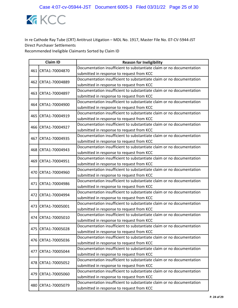

|     | <b>Claim ID</b>    | <b>Reason for Ineligibility</b>                                      |
|-----|--------------------|----------------------------------------------------------------------|
|     | 461 CRTA1-70004870 | Documentation insufficient to substantiate claim or no documentation |
|     |                    | submitted in response to request from KCC                            |
|     | 462 CRTA1-70004889 | Documentation insufficient to substantiate claim or no documentation |
|     |                    | submitted in response to request from KCC                            |
| 463 | CRTA1-70004897     | Documentation insufficient to substantiate claim or no documentation |
|     |                    | submitted in response to request from KCC                            |
|     | 464 CRTA1-70004900 | Documentation insufficient to substantiate claim or no documentation |
|     |                    | submitted in response to request from KCC                            |
|     | 465 CRTA1-70004919 | Documentation insufficient to substantiate claim or no documentation |
|     |                    | submitted in response to request from KCC                            |
|     | 466 CRTA1-70004927 | Documentation insufficient to substantiate claim or no documentation |
|     |                    | submitted in response to request from KCC                            |
|     | 467 CRTA1-70004935 | Documentation insufficient to substantiate claim or no documentation |
|     |                    | submitted in response to request from KCC                            |
|     | 468 CRTA1-70004943 | Documentation insufficient to substantiate claim or no documentation |
|     |                    | submitted in response to request from KCC                            |
|     | 469 CRTA1-70004951 | Documentation insufficient to substantiate claim or no documentation |
|     |                    | submitted in response to request from KCC                            |
|     | 470 CRTA1-70004960 | Documentation insufficient to substantiate claim or no documentation |
|     |                    | submitted in response to request from KCC                            |
|     | 471 CRTA1-70004986 | Documentation insufficient to substantiate claim or no documentation |
|     |                    | submitted in response to request from KCC                            |
|     | 472 CRTA1-70004994 | Documentation insufficient to substantiate claim or no documentation |
|     |                    | submitted in response to request from KCC                            |
|     | 473 CRTA1-70005001 | Documentation insufficient to substantiate claim or no documentation |
|     |                    | submitted in response to request from KCC                            |
|     | 474 CRTA1-70005010 | Documentation insufficient to substantiate claim or no documentation |
|     |                    | submitted in response to request from KCC                            |
|     | 475 CRTA1-70005028 | Documentation insufficient to substantiate claim or no documentation |
|     |                    | submitted in response to request from KCC                            |
|     | 476 CRTA1-70005036 | Documentation insufficient to substantiate claim or no documentation |
|     |                    | submitted in response to request from KCC                            |
|     | 477 CRTA1-70005044 | Documentation insufficient to substantiate claim or no documentation |
|     |                    | submitted in response to request from KCC                            |
|     | 478 CRTA1-70005052 | Documentation insufficient to substantiate claim or no documentation |
|     |                    | submitted in response to request from KCC                            |
|     | 479 CRTA1-70005060 | Documentation insufficient to substantiate claim or no documentation |
|     |                    | submitted in response to request from KCC                            |
|     | 480 CRTA1-70005079 | Documentation insufficient to substantiate claim or no documentation |
|     |                    | submitted in response to request from KCC                            |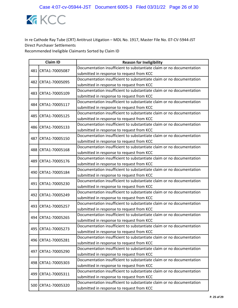

|     | <b>Claim ID</b>    | <b>Reason for Ineligibility</b>                                      |
|-----|--------------------|----------------------------------------------------------------------|
|     | 481 CRTA1-70005087 | Documentation insufficient to substantiate claim or no documentation |
|     |                    | submitted in response to request from KCC                            |
|     |                    | Documentation insufficient to substantiate claim or no documentation |
|     | 482 CRTA1-70005095 | submitted in response to request from KCC                            |
| 483 | CRTA1-70005109     | Documentation insufficient to substantiate claim or no documentation |
|     |                    | submitted in response to request from KCC                            |
|     | 484 CRTA1-70005117 | Documentation insufficient to substantiate claim or no documentation |
|     |                    | submitted in response to request from KCC                            |
|     | 485 CRTA1-70005125 | Documentation insufficient to substantiate claim or no documentation |
|     |                    | submitted in response to request from KCC                            |
|     | 486 CRTA1-70005133 | Documentation insufficient to substantiate claim or no documentation |
|     |                    | submitted in response to request from KCC                            |
|     | 487 CRTA1-70005150 | Documentation insufficient to substantiate claim or no documentation |
|     |                    | submitted in response to request from KCC                            |
|     | 488 CRTA1-70005168 | Documentation insufficient to substantiate claim or no documentation |
|     |                    | submitted in response to request from KCC                            |
|     | 489 CRTA1-70005176 | Documentation insufficient to substantiate claim or no documentation |
|     |                    | submitted in response to request from KCC                            |
|     | 490 CRTA1-70005184 | Documentation insufficient to substantiate claim or no documentation |
|     |                    | submitted in response to request from KCC                            |
|     | 491 CRTA1-70005230 | Documentation insufficient to substantiate claim or no documentation |
|     |                    | submitted in response to request from KCC                            |
|     | 492 CRTA1-70005249 | Documentation insufficient to substantiate claim or no documentation |
|     |                    | submitted in response to request from KCC                            |
|     | 493 CRTA1-70005257 | Documentation insufficient to substantiate claim or no documentation |
|     |                    | submitted in response to request from KCC                            |
|     | 494 CRTA1-70005265 | Documentation insufficient to substantiate claim or no documentation |
|     |                    | submitted in response to request from KCC                            |
|     | 495 CRTA1-70005273 | Documentation insufficient to substantiate claim or no documentation |
|     |                    | submitted in response to request from KCC                            |
|     | 496 CRTA1-70005281 | Documentation insufficient to substantiate claim or no documentation |
|     |                    | submitted in response to request from KCC                            |
|     | 497 CRTA1-70005290 | Documentation insufficient to substantiate claim or no documentation |
|     |                    | submitted in response to request from KCC                            |
|     | 498 CRTA1-70005303 | Documentation insufficient to substantiate claim or no documentation |
|     |                    | submitted in response to request from KCC                            |
|     | 499 CRTA1-70005311 | Documentation insufficient to substantiate claim or no documentation |
|     |                    | submitted in response to request from KCC                            |
|     | 500 CRTA1-70005320 | Documentation insufficient to substantiate claim or no documentation |
|     |                    | submitted in response to request from KCC                            |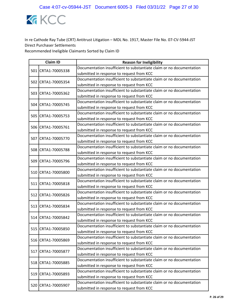

|  | <b>Claim ID</b>    | <b>Reason for Ineligibility</b>                                      |
|--|--------------------|----------------------------------------------------------------------|
|  | 501 CRTA1-70005338 | Documentation insufficient to substantiate claim or no documentation |
|  |                    | submitted in response to request from KCC                            |
|  | 502 CRTA1-70005354 | Documentation insufficient to substantiate claim or no documentation |
|  |                    | submitted in response to request from KCC                            |
|  | 503 CRTA1-70005362 | Documentation insufficient to substantiate claim or no documentation |
|  |                    | submitted in response to request from KCC                            |
|  | 504 CRTA1-70005745 | Documentation insufficient to substantiate claim or no documentation |
|  |                    | submitted in response to request from KCC                            |
|  | 505 CRTA1-70005753 | Documentation insufficient to substantiate claim or no documentation |
|  |                    | submitted in response to request from KCC                            |
|  | 506 CRTA1-70005761 | Documentation insufficient to substantiate claim or no documentation |
|  |                    | submitted in response to request from KCC                            |
|  | 507 CRTA1-70005770 | Documentation insufficient to substantiate claim or no documentation |
|  |                    | submitted in response to request from KCC                            |
|  | 508 CRTA1-70005788 | Documentation insufficient to substantiate claim or no documentation |
|  |                    | submitted in response to request from KCC                            |
|  | 509 CRTA1-70005796 | Documentation insufficient to substantiate claim or no documentation |
|  |                    | submitted in response to request from KCC                            |
|  | 510 CRTA1-70005800 | Documentation insufficient to substantiate claim or no documentation |
|  |                    | submitted in response to request from KCC                            |
|  | 511 CRTA1-70005818 | Documentation insufficient to substantiate claim or no documentation |
|  |                    | submitted in response to request from KCC                            |
|  | 512 CRTA1-70005826 | Documentation insufficient to substantiate claim or no documentation |
|  |                    | submitted in response to request from KCC                            |
|  | 513 CRTA1-70005834 | Documentation insufficient to substantiate claim or no documentation |
|  |                    | submitted in response to request from KCC                            |
|  | 514 CRTA1-70005842 | Documentation insufficient to substantiate claim or no documentation |
|  |                    | submitted in response to request from KCC                            |
|  | 515 CRTA1-70005850 | Documentation insufficient to substantiate claim or no documentation |
|  |                    | submitted in response to request from KCC                            |
|  | 516 CRTA1-70005869 | Documentation insufficient to substantiate claim or no documentation |
|  |                    | submitted in response to request from KCC                            |
|  | 517 CRTA1-70005877 | Documentation insufficient to substantiate claim or no documentation |
|  |                    | submitted in response to request from KCC                            |
|  | 518 CRTA1-70005885 | Documentation insufficient to substantiate claim or no documentation |
|  |                    | submitted in response to request from KCC                            |
|  | 519 CRTA1-70005893 | Documentation insufficient to substantiate claim or no documentation |
|  |                    | submitted in response to request from KCC                            |
|  | 520 CRTA1-70005907 | Documentation insufficient to substantiate claim or no documentation |
|  |                    | submitted in response to request from KCC                            |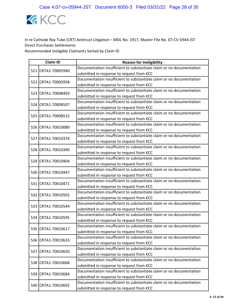

|  | <b>Claim ID</b>    | <b>Reason for Ineligibility</b>                                      |
|--|--------------------|----------------------------------------------------------------------|
|  | 521 CRTA1-70005940 | Documentation insufficient to substantiate claim or no documentation |
|  |                    | submitted in response to request from KCC                            |
|  |                    | Documentation insufficient to substantiate claim or no documentation |
|  | 522 CRTA1-70005958 | submitted in response to request from KCC                            |
|  | 523 CRTA1-70008493 | Documentation insufficient to substantiate claim or no documentation |
|  |                    | submitted in response to request from KCC                            |
|  | 524 CRTA1-70008507 | Documentation insufficient to substantiate claim or no documentation |
|  |                    | submitted in response to request from KCC                            |
|  | 525 CRTA1-70008515 | Documentation insufficient to substantiate claim or no documentation |
|  |                    | submitted in response to request from KCC                            |
|  | 526 CRTA1-70010080 | Documentation insufficient to substantiate claim or no documentation |
|  |                    | submitted in response to request from KCC                            |
|  | 527 CRTA1-70010374 | Documentation insufficient to substantiate claim or no documentation |
|  |                    | submitted in response to request from KCC                            |
|  | 528 CRTA1-70010390 | Documentation insufficient to substantiate claim or no documentation |
|  |                    | submitted in response to request from KCC                            |
|  | 529 CRTA1-70010404 | Documentation insufficient to substantiate claim or no documentation |
|  |                    | submitted in response to request from KCC                            |
|  | 530 CRTA1-70010447 | Documentation insufficient to substantiate claim or no documentation |
|  |                    | submitted in response to request from KCC                            |
|  | 531 CRTA1-70010471 | Documentation insufficient to substantiate claim or no documentation |
|  |                    | submitted in response to request from KCC                            |
|  | 532 CRTA1-70010501 | Documentation insufficient to substantiate claim or no documentation |
|  |                    | submitted in response to request from KCC                            |
|  | 533 CRTA1-70010544 | Documentation insufficient to substantiate claim or no documentation |
|  |                    | submitted in response to request from KCC                            |
|  | 534 CRTA1-70010595 | Documentation insufficient to substantiate claim or no documentation |
|  |                    | submitted in response to request from KCC                            |
|  | 535 CRTA1-70010617 | Documentation insufficient to substantiate claim or no documentation |
|  |                    | submitted in response to request from KCC                            |
|  | 536 CRTA1-70010633 | Documentation insufficient to substantiate claim or no documentation |
|  |                    | submitted in response to request from KCC                            |
|  | 537 CRTA1-70010650 | Documentation insufficient to substantiate claim or no documentation |
|  |                    | submitted in response to request from KCC                            |
|  | 538 CRTA1-70010668 | Documentation insufficient to substantiate claim or no documentation |
|  |                    | submitted in response to request from KCC                            |
|  | 539 CRTA1-70010684 | Documentation insufficient to substantiate claim or no documentation |
|  |                    | submitted in response to request from KCC                            |
|  | 540 CRTA1-70010692 | Documentation insufficient to substantiate claim or no documentation |
|  |                    | submitted in response to request from KCC                            |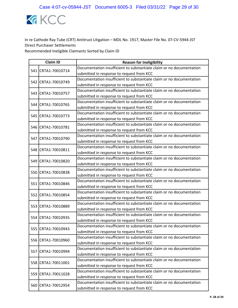

|  | <b>Claim ID</b>    | <b>Reason for Ineligibility</b>                                      |
|--|--------------------|----------------------------------------------------------------------|
|  | 541 CRTA1-70010714 | Documentation insufficient to substantiate claim or no documentation |
|  |                    | submitted in response to request from KCC                            |
|  |                    | Documentation insufficient to substantiate claim or no documentation |
|  | 542 CRTA1-70010749 | submitted in response to request from KCC                            |
|  | 543 CRTA1-70010757 | Documentation insufficient to substantiate claim or no documentation |
|  |                    | submitted in response to request from KCC                            |
|  | 544 CRTA1-70010765 | Documentation insufficient to substantiate claim or no documentation |
|  |                    | submitted in response to request from KCC                            |
|  | 545 CRTA1-70010773 | Documentation insufficient to substantiate claim or no documentation |
|  |                    | submitted in response to request from KCC                            |
|  | 546 CRTA1-70010781 | Documentation insufficient to substantiate claim or no documentation |
|  |                    | submitted in response to request from KCC                            |
|  | 547 CRTA1-70010790 | Documentation insufficient to substantiate claim or no documentation |
|  |                    | submitted in response to request from KCC                            |
|  |                    | Documentation insufficient to substantiate claim or no documentation |
|  | 548 CRTA1-70010811 | submitted in response to request from KCC                            |
|  | 549 CRTA1-70010820 | Documentation insufficient to substantiate claim or no documentation |
|  |                    | submitted in response to request from KCC                            |
|  | 550 CRTA1-70010838 | Documentation insufficient to substantiate claim or no documentation |
|  |                    | submitted in response to request from KCC                            |
|  | 551 CRTA1-70010846 | Documentation insufficient to substantiate claim or no documentation |
|  |                    | submitted in response to request from KCC                            |
|  | 552 CRTA1-70010854 | Documentation insufficient to substantiate claim or no documentation |
|  |                    | submitted in response to request from KCC                            |
|  | 553 CRTA1-70010889 | Documentation insufficient to substantiate claim or no documentation |
|  |                    | submitted in response to request from KCC                            |
|  | 554 CRTA1-70010935 | Documentation insufficient to substantiate claim or no documentation |
|  |                    | submitted in response to request from KCC                            |
|  | 555 CRTA1-70010943 | Documentation insufficient to substantiate claim or no documentation |
|  |                    | submitted in response to request from KCC                            |
|  | 556 CRTA1-70010960 | Documentation insufficient to substantiate claim or no documentation |
|  |                    | submitted in response to request from KCC                            |
|  | 557 CRTA1-70010994 | Documentation insufficient to substantiate claim or no documentation |
|  |                    | submitted in response to request from KCC                            |
|  | 558 CRTA1-70011001 | Documentation insufficient to substantiate claim or no documentation |
|  |                    | submitted in response to request from KCC                            |
|  | 559 CRTA1-70011028 | Documentation insufficient to substantiate claim or no documentation |
|  |                    | submitted in response to request from KCC                            |
|  | 560 CRTA1-70012954 | Documentation insufficient to substantiate claim or no documentation |
|  |                    | submitted in response to request from KCC                            |